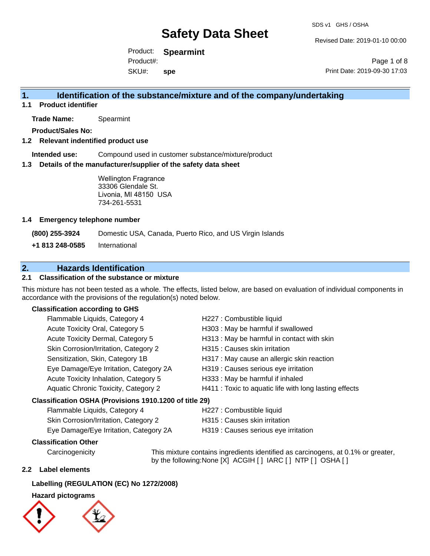Revised Date: 2019-01-10 00:00

Product: **Spearmint** SKU#: Product#: **spe**

Page 1 of 8 Print Date: 2019-09-30 17:03

# **1. Identification of the substance/mixture and of the company/undertaking**

**1.1 Product identifier**

**Trade Name:** Spearmint

**Product/Sales No:**

# **1.2 Relevant indentified product use**

**Intended use:** Compound used in customer substance/mixture/product

### **1.3 Details of the manufacturer/supplier of the safety data sheet**

Wellington Fragrance 33306 Glendale St. Livonia, MI 48150 USA 734-261-5531

### **1.4 Emergency telephone number**

**(800) 255-3924** Domestic USA, Canada, Puerto Rico, and US Virgin Islands

**+1 813 248-0585** International

# **2. Hazards Identification**

# **2.1 Classification of the substance or mixture**

This mixture has not been tested as a whole. The effects, listed below, are based on evaluation of individual components in accordance with the provisions of the regulation(s) noted below.

### **Classification according to GHS**

| Flammable Liquids, Category 4                          | H227 : Combustible liquid                              |
|--------------------------------------------------------|--------------------------------------------------------|
| Acute Toxicity Oral, Category 5                        | H303 : May be harmful if swallowed                     |
| Acute Toxicity Dermal, Category 5                      | H313 : May be harmful in contact with skin             |
| Skin Corrosion/Irritation, Category 2                  | H315 : Causes skin irritation                          |
| Sensitization, Skin, Category 1B                       | H317 : May cause an allergic skin reaction             |
| Eye Damage/Eye Irritation, Category 2A                 | H319 : Causes serious eye irritation                   |
| Acute Toxicity Inhalation, Category 5                  | H333: May be harmful if inhaled                        |
| Aquatic Chronic Toxicity, Category 2                   | H411 : Toxic to aquatic life with long lasting effects |
| Classification OSHA (Provisions 1910.1200 of title 29) |                                                        |
| Flammable Liquids, Category 4                          | H227 : Combustible liquid                              |

| <b>Halling Ligulus, Calegoly 4</b>     | <b>ILLET . COMPUTE SUBJIS</b>        |
|----------------------------------------|--------------------------------------|
| Skin Corrosion/Irritation, Category 2  | H315 : Causes skin irritation        |
| Eye Damage/Eye Irritation, Category 2A | H319 : Causes serious eye irritation |

# **Classification Other**

Carcinogenicity This mixture contains ingredients identified as carcinogens, at 0.1% or greater, by the following:None [X] ACGIH [ ] IARC [ ] NTP [ ] OSHA [ ]

## **2.2 Label elements**

## **Labelling (REGULATION (EC) No 1272/2008)**

## **Hazard pictograms**

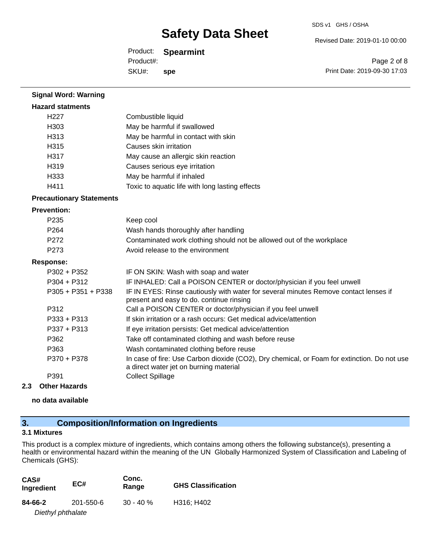Revised Date: 2019-01-10 00:00

Product: **Spearmint** SKU#: Product#: **spe**

Page 2 of 8 Print Date: 2019-09-30 17:03

| <b>Signal Word: Warning</b>     |                                                                                                                                       |
|---------------------------------|---------------------------------------------------------------------------------------------------------------------------------------|
| <b>Hazard statments</b>         |                                                                                                                                       |
| H <sub>227</sub>                | Combustible liquid                                                                                                                    |
| H303                            | May be harmful if swallowed                                                                                                           |
| H313                            | May be harmful in contact with skin                                                                                                   |
| H315                            | Causes skin irritation                                                                                                                |
| H317                            | May cause an allergic skin reaction                                                                                                   |
| H319                            | Causes serious eye irritation                                                                                                         |
| H333                            | May be harmful if inhaled                                                                                                             |
| H411                            | Toxic to aquatic life with long lasting effects                                                                                       |
| <b>Precautionary Statements</b> |                                                                                                                                       |
| <b>Prevention:</b>              |                                                                                                                                       |
| P <sub>235</sub>                | Keep cool                                                                                                                             |
| P <sub>264</sub>                | Wash hands thoroughly after handling                                                                                                  |
| P272                            | Contaminated work clothing should not be allowed out of the workplace                                                                 |
| P273                            | Avoid release to the environment                                                                                                      |
| <b>Response:</b>                |                                                                                                                                       |
| $P302 + P352$                   | IF ON SKIN: Wash with soap and water                                                                                                  |
| $P304 + P312$                   | IF INHALED: Call a POISON CENTER or doctor/physician if you feel unwell                                                               |
| $P305 + P351 + P338$            | IF IN EYES: Rinse cautiously with water for several minutes Remove contact lenses if<br>present and easy to do. continue rinsing      |
| P312                            | Call a POISON CENTER or doctor/physician if you feel unwell                                                                           |
| $P333 + P313$                   | If skin irritation or a rash occurs: Get medical advice/attention                                                                     |
| P337 + P313                     | If eye irritation persists: Get medical advice/attention                                                                              |
| P362                            | Take off contaminated clothing and wash before reuse                                                                                  |
| P363                            | Wash contaminated clothing before reuse                                                                                               |
| P370 + P378                     | In case of fire: Use Carbon dioxide (CO2), Dry chemical, or Foam for extinction. Do not use<br>a direct water jet on burning material |
| P391                            | <b>Collect Spillage</b>                                                                                                               |

## **2.3 Other Hazards**

**no data available**

# **3. Composition/Information on Ingredients**

# **3.1 Mixtures**

This product is a complex mixture of ingredients, which contains among others the following substance(s), presenting a health or environmental hazard within the meaning of the UN Globally Harmonized System of Classification and Labeling of Chemicals (GHS):

| CAS#<br>Ingredient | EC#       | Conc.<br>Range | <b>GHS Classification</b> |
|--------------------|-----------|----------------|---------------------------|
| 84-66-2            | 201-550-6 | $30 - 40 \%$   | H316; H402                |
| Diethyl phthalate  |           |                |                           |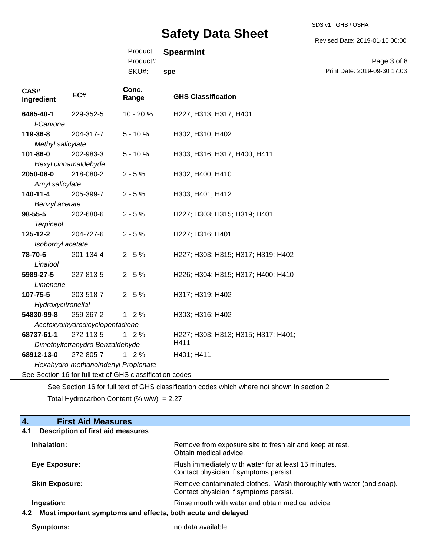SDS v1 GHS / OSHA

Revised Date: 2019-01-10 00:00

Print Date: 2019-09-30 17:03

Page 3 of 8

| Product:<br><b>Spearmint</b> |  |
|------------------------------|--|
|------------------------------|--|

Product#:

SKU#: **spe**

| CAS#<br>Ingredient | EC#                             | Conc.<br>Range | <b>GHS Classification</b>           |
|--------------------|---------------------------------|----------------|-------------------------------------|
| 6485-40-1          | 229-352-5                       | $10 - 20%$     | H227; H313; H317; H401              |
| I-Carvone          |                                 |                |                                     |
| 119-36-8           | 204-317-7                       | $5 - 10%$      | H302; H310; H402                    |
| Methyl salicylate  |                                 |                |                                     |
| 101-86-0           | 202-983-3                       | $5 - 10%$      | H303; H316; H317; H400; H411        |
|                    | Hexyl cinnamaldehyde            |                |                                     |
| 2050-08-0          | 218-080-2                       | $2 - 5%$       | H302; H400; H410                    |
| Amyl salicylate    |                                 |                |                                     |
| $140 - 11 - 4$     | 205-399-7                       | $2 - 5%$       | H303; H401; H412                    |
| Benzyl acetate     |                                 |                |                                     |
| 98-55-5            | 202-680-6                       | $2 - 5%$       | H227; H303; H315; H319; H401        |
| <b>Terpineol</b>   |                                 |                |                                     |
| 125-12-2           | 204-727-6                       | $2 - 5%$       | H227; H316; H401                    |
| Isobornyl acetate  |                                 |                |                                     |
| 78-70-6            | 201-134-4                       | $2 - 5%$       | H227; H303; H315; H317; H319; H402  |
| Linalool           |                                 |                |                                     |
| 5989-27-5          | 227-813-5                       | $2 - 5%$       | H226; H304; H315; H317; H400; H410  |
| Limonene           |                                 |                |                                     |
| 107-75-5           | 203-518-7                       | $2 - 5%$       | H317; H319; H402                    |
| Hydroxycitronellal |                                 |                |                                     |
| 54830-99-8         | 259-367-2                       | $1 - 2%$       | H303; H316; H402                    |
|                    | Acetoxydihydrodicyclopentadiene |                |                                     |
| 68737-61-1         | 272-113-5                       | $1 - 2%$       | H227; H303; H313; H315; H317; H401; |
|                    | Dimethyltetrahydro Benzaldehyde |                | H411                                |
| 68912-13-0         | 272-805-7                       | $1 - 2%$       | H401; H411                          |

*Hexahydro-methanoindenyl Propionate*

See Section 16 for full text of GHS classification codes

See Section 16 for full text of GHS classification codes which where not shown in section 2

Total Hydrocarbon Content (%  $w/w$ ) = 2.27

| 4.<br><b>First Aid Measures</b>                                    |                                                                                                               |
|--------------------------------------------------------------------|---------------------------------------------------------------------------------------------------------------|
| <b>Description of first aid measures</b><br>4.1                    |                                                                                                               |
| Inhalation:                                                        | Remove from exposure site to fresh air and keep at rest.<br>Obtain medical advice.                            |
| Eye Exposure:                                                      | Flush immediately with water for at least 15 minutes.<br>Contact physician if symptoms persist.               |
| <b>Skin Exposure:</b>                                              | Remove contaminated clothes. Wash thoroughly with water (and soap).<br>Contact physician if symptoms persist. |
| Ingestion:                                                         | Rinse mouth with water and obtain medical advice.                                                             |
| Most important symptoms and effects, both acute and delayed<br>4.2 |                                                                                                               |

**Symptoms:** no data available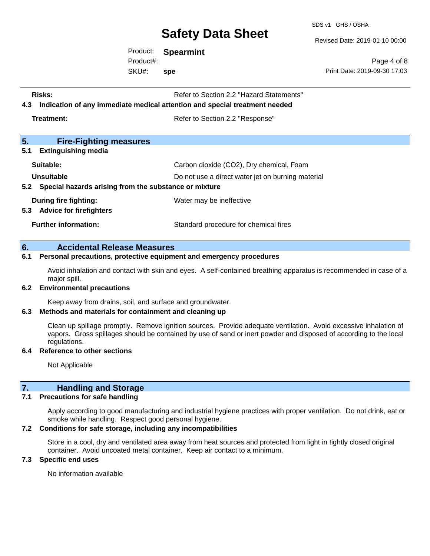SDS v1 GHS / OSHA

Revised Date: 2019-01-10 00:00

Product: **Spearmint** SKU#: Product#: **spe**

Page 4 of 8 Print Date: 2019-09-30 17:03

| <b>Risks:</b><br>4.3                                                    | Refer to Section 2.2 "Hazard Statements"<br>Indication of any immediate medical attention and special treatment needed |  |
|-------------------------------------------------------------------------|------------------------------------------------------------------------------------------------------------------------|--|
| Treatment:                                                              | Refer to Section 2.2 "Response"                                                                                        |  |
| 5.<br><b>Fire-Fighting measures</b>                                     |                                                                                                                        |  |
| 5.1<br><b>Extinguishing media</b>                                       |                                                                                                                        |  |
| Suitable:                                                               | Carbon dioxide (CO2), Dry chemical, Foam                                                                               |  |
| Unsuitable<br>5.2 Special hazards arising from the substance or mixture | Do not use a direct water jet on burning material                                                                      |  |
| During fire fighting:<br>5.3 Advice for firefighters                    | Water may be ineffective                                                                                               |  |
| <b>Further information:</b>                                             | Standard procedure for chemical fires                                                                                  |  |

### **6. Accidental Release Measures**

#### **6.1 Personal precautions, protective equipment and emergency procedures**

Avoid inhalation and contact with skin and eyes. A self-contained breathing apparatus is recommended in case of a major spill.

#### **6.2 Environmental precautions**

Keep away from drains, soil, and surface and groundwater.

#### **6.3 Methods and materials for containment and cleaning up**

Clean up spillage promptly. Remove ignition sources. Provide adequate ventilation. Avoid excessive inhalation of vapors. Gross spillages should be contained by use of sand or inert powder and disposed of according to the local regulations.

#### **6.4 Reference to other sections**

Not Applicable

# **7. Handling and Storage**

#### **7.1 Precautions for safe handling**

Apply according to good manufacturing and industrial hygiene practices with proper ventilation. Do not drink, eat or smoke while handling. Respect good personal hygiene.

## **7.2 Conditions for safe storage, including any incompatibilities**

Store in a cool, dry and ventilated area away from heat sources and protected from light in tightly closed original container. Avoid uncoated metal container. Keep air contact to a minimum.

### **7.3 Specific end uses**

No information available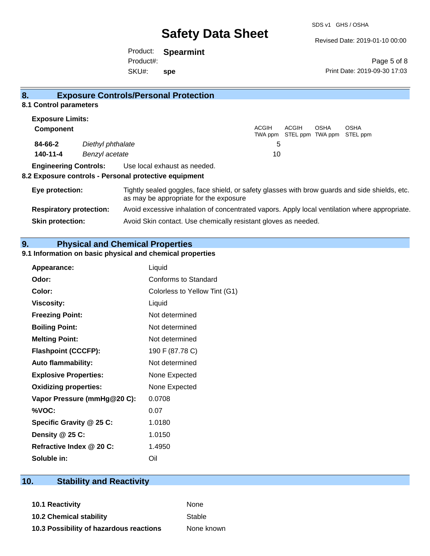Revised Date: 2019-01-10 00:00

Product: **Spearmint** SKU#: Product#: **spe**

Page 5 of 8 Print Date: 2019-09-30 17:03

| 8.                             |                   | <b>Exposure Controls/Personal Protection</b>                                                                                             |                  |       |      |                                          |
|--------------------------------|-------------------|------------------------------------------------------------------------------------------------------------------------------------------|------------------|-------|------|------------------------------------------|
| 8.1 Control parameters         |                   |                                                                                                                                          |                  |       |      |                                          |
| <b>Exposure Limits:</b>        |                   |                                                                                                                                          |                  |       |      |                                          |
| <b>Component</b>               |                   |                                                                                                                                          | ACGIH<br>TWA ppm | ACGIH | OSHA | <b>OSHA</b><br>STEL ppm TWA ppm STEL ppm |
| 84-66-2                        | Diethyl phthalate |                                                                                                                                          | 5                |       |      |                                          |
| 140-11-4                       | Benzyl acetate    |                                                                                                                                          | 10               |       |      |                                          |
| <b>Engineering Controls:</b>   |                   | Use local exhaust as needed.<br>8.2 Exposure controls - Personal protective equipment                                                    |                  |       |      |                                          |
| Eye protection:                |                   | Tightly sealed goggles, face shield, or safety glasses with brow guards and side shields, etc.<br>as may be appropriate for the exposure |                  |       |      |                                          |
| <b>Respiratory protection:</b> |                   | Avoid excessive inhalation of concentrated vapors. Apply local ventilation where appropriate.                                            |                  |       |      |                                          |
| <b>Skin protection:</b>        |                   | Avoid Skin contact. Use chemically resistant gloves as needed.                                                                           |                  |       |      |                                          |

**9. Physical and Chemical Properties** 

# **9.1 Information on basic physical and chemical properties**

| Appearance:                  | Liquid                        |
|------------------------------|-------------------------------|
| Odor:                        | Conforms to Standard          |
| Color:                       | Colorless to Yellow Tint (G1) |
| <b>Viscosity:</b>            | Liquid                        |
| <b>Freezing Point:</b>       | Not determined                |
| <b>Boiling Point:</b>        | Not determined                |
| <b>Melting Point:</b>        | Not determined                |
| <b>Flashpoint (CCCFP):</b>   | 190 F (87.78 C)               |
| <b>Auto flammability:</b>    | Not determined                |
| <b>Explosive Properties:</b> | None Expected                 |
| <b>Oxidizing properties:</b> | None Expected                 |
| Vapor Pressure (mmHg@20 C):  | 0.0708                        |
| %VOC:                        | 0.07                          |
| Specific Gravity @ 25 C:     | 1.0180                        |
| Density @ 25 C:              | 1.0150                        |
| Refractive Index @ 20 C:     | 1.4950                        |
| Soluble in:                  | Oil                           |

# **10. Stability and Reactivity**

**10.1 Reactivity** None **10.2 Chemical stability** Stable

**10.3 Possibility of hazardous reactions** None known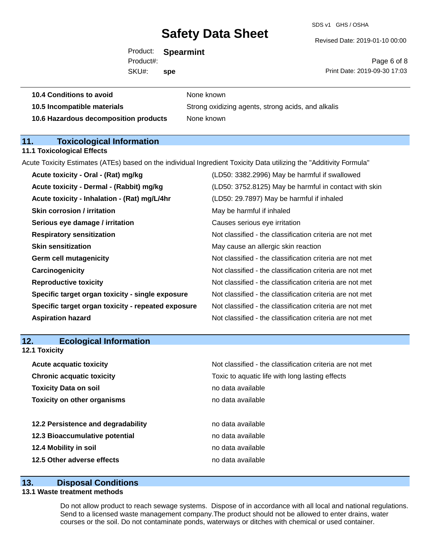SDS v1 GHS / OSHA

Revised Date: 2019-01-10 00:00

Product: **Spearmint** SKU#: Product#: **spe**

Page 6 of 8 Print Date: 2019-09-30 17:03

| 10.5 Incompatible materials           | Strong oxidiz |
|---------------------------------------|---------------|
| 10.6 Hazardous decomposition products | None known    |

**10.4 Conditions to avoid** None known

**10.5 Incompatible materials** Strong oxidizing agents, strong acids, and alkalis

# **11. Toxicological Information**

#### **11.1 Toxicological Effects**

Acute Toxicity Estimates (ATEs) based on the individual Ingredient Toxicity Data utilizing the "Additivity Formula"

| (LD50: 3752.8125) May be harmful in contact with skin<br>Acute toxicity - Dermal - (Rabbit) mg/kg<br>Acute toxicity - Inhalation - (Rat) mg/L/4hr<br>(LD50: 29.7897) May be harmful if inhaled<br><b>Skin corrosion / irritation</b><br>May be harmful if inhaled<br>Serious eye damage / irritation<br>Causes serious eye irritation<br>Not classified - the classification criteria are not met<br><b>Respiratory sensitization</b><br><b>Skin sensitization</b><br>May cause an allergic skin reaction<br>Not classified - the classification criteria are not met<br><b>Germ cell mutagenicity</b><br>Not classified - the classification criteria are not met<br>Carcinogenicity<br><b>Reproductive toxicity</b><br>Not classified - the classification criteria are not met<br>Specific target organ toxicity - single exposure<br>Not classified - the classification criteria are not met<br>Not classified - the classification criteria are not met<br>Specific target organ toxicity - repeated exposure<br>Not classified - the classification criteria are not met<br><b>Aspiration hazard</b> | Acute toxicity - Oral - (Rat) mg/kg | (LD50: 3382.2996) May be harmful if swallowed |
|-------------------------------------------------------------------------------------------------------------------------------------------------------------------------------------------------------------------------------------------------------------------------------------------------------------------------------------------------------------------------------------------------------------------------------------------------------------------------------------------------------------------------------------------------------------------------------------------------------------------------------------------------------------------------------------------------------------------------------------------------------------------------------------------------------------------------------------------------------------------------------------------------------------------------------------------------------------------------------------------------------------------------------------------------------------------------------------------------------------|-------------------------------------|-----------------------------------------------|
|                                                                                                                                                                                                                                                                                                                                                                                                                                                                                                                                                                                                                                                                                                                                                                                                                                                                                                                                                                                                                                                                                                             |                                     |                                               |
|                                                                                                                                                                                                                                                                                                                                                                                                                                                                                                                                                                                                                                                                                                                                                                                                                                                                                                                                                                                                                                                                                                             |                                     |                                               |
|                                                                                                                                                                                                                                                                                                                                                                                                                                                                                                                                                                                                                                                                                                                                                                                                                                                                                                                                                                                                                                                                                                             |                                     |                                               |
|                                                                                                                                                                                                                                                                                                                                                                                                                                                                                                                                                                                                                                                                                                                                                                                                                                                                                                                                                                                                                                                                                                             |                                     |                                               |
|                                                                                                                                                                                                                                                                                                                                                                                                                                                                                                                                                                                                                                                                                                                                                                                                                                                                                                                                                                                                                                                                                                             |                                     |                                               |
|                                                                                                                                                                                                                                                                                                                                                                                                                                                                                                                                                                                                                                                                                                                                                                                                                                                                                                                                                                                                                                                                                                             |                                     |                                               |
|                                                                                                                                                                                                                                                                                                                                                                                                                                                                                                                                                                                                                                                                                                                                                                                                                                                                                                                                                                                                                                                                                                             |                                     |                                               |
|                                                                                                                                                                                                                                                                                                                                                                                                                                                                                                                                                                                                                                                                                                                                                                                                                                                                                                                                                                                                                                                                                                             |                                     |                                               |
|                                                                                                                                                                                                                                                                                                                                                                                                                                                                                                                                                                                                                                                                                                                                                                                                                                                                                                                                                                                                                                                                                                             |                                     |                                               |
|                                                                                                                                                                                                                                                                                                                                                                                                                                                                                                                                                                                                                                                                                                                                                                                                                                                                                                                                                                                                                                                                                                             |                                     |                                               |
|                                                                                                                                                                                                                                                                                                                                                                                                                                                                                                                                                                                                                                                                                                                                                                                                                                                                                                                                                                                                                                                                                                             |                                     |                                               |
|                                                                                                                                                                                                                                                                                                                                                                                                                                                                                                                                                                                                                                                                                                                                                                                                                                                                                                                                                                                                                                                                                                             |                                     |                                               |

# **12. Ecological Information**

**12.1 Toxicity**

| <b>Acute acquatic toxicity</b>     | Not classified - the classification criteria are not met |
|------------------------------------|----------------------------------------------------------|
| <b>Chronic acquatic toxicity</b>   | Toxic to aquatic life with long lasting effects          |
| <b>Toxicity Data on soil</b>       | no data available                                        |
| <b>Toxicity on other organisms</b> | no data available                                        |
|                                    |                                                          |
| 12.2 Persistence and degradability | no data available                                        |
| 12.3 Bioaccumulative potential     | no data available                                        |
| 12.4 Mobility in soil              | no data available                                        |
| 12.5 Other adverse effects         | no data available                                        |

## **13. Disposal Conditions**

### **13.1 Waste treatment methods**

Do not allow product to reach sewage systems. Dispose of in accordance with all local and national regulations. Send to a licensed waste management company.The product should not be allowed to enter drains, water courses or the soil. Do not contaminate ponds, waterways or ditches with chemical or used container.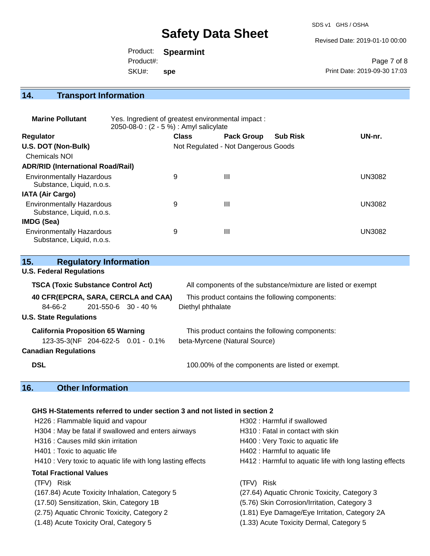SDS v1 GHS / OSHA

Revised Date: 2019-01-10 00:00

|           | Product: Spearmint |                              |
|-----------|--------------------|------------------------------|
| Product#: |                    | Page 7 of 8                  |
| SKU#:     | spe                | Print Date: 2019-09-30 17:03 |

# **14. Transport Information**

| <b>Marine Pollutant</b>                                       | Yes. Ingredient of greatest environmental impact:<br>2050-08-0 : (2 - 5 %) : Amyl salicylate |              |                                     |                 |               |
|---------------------------------------------------------------|----------------------------------------------------------------------------------------------|--------------|-------------------------------------|-----------------|---------------|
| <b>Regulator</b>                                              |                                                                                              | <b>Class</b> | <b>Pack Group</b>                   | <b>Sub Risk</b> | UN-nr.        |
| U.S. DOT (Non-Bulk)                                           |                                                                                              |              | Not Regulated - Not Dangerous Goods |                 |               |
| <b>Chemicals NOI</b>                                          |                                                                                              |              |                                     |                 |               |
| <b>ADR/RID (International Road/Rail)</b>                      |                                                                                              |              |                                     |                 |               |
| <b>Environmentally Hazardous</b><br>Substance, Liquid, n.o.s. |                                                                                              | 9            | Ш                                   |                 | <b>UN3082</b> |
| <b>IATA (Air Cargo)</b>                                       |                                                                                              |              |                                     |                 |               |
| <b>Environmentally Hazardous</b><br>Substance, Liquid, n.o.s. |                                                                                              | 9            | Ш                                   |                 | <b>UN3082</b> |
| <b>IMDG (Sea)</b>                                             |                                                                                              |              |                                     |                 |               |
| <b>Environmentally Hazardous</b><br>Substance, Liquid, n.o.s. |                                                                                              | 9            | $\mathbf{III}$                      |                 | <b>UN3082</b> |

| 15.                                       |                                 | <b>Regulatory Information</b>            |                                                              |                                                 |
|-------------------------------------------|---------------------------------|------------------------------------------|--------------------------------------------------------------|-------------------------------------------------|
|                                           | <b>U.S. Federal Regulations</b> |                                          |                                                              |                                                 |
| <b>TSCA (Toxic Substance Control Act)</b> |                                 |                                          | All components of the substance/mixture are listed or exempt |                                                 |
|                                           |                                 |                                          | 40 CFR(EPCRA, SARA, CERCLA and CAA)                          | This product contains the following components: |
|                                           | 84-66-2                         | 201-550-6 30 - 40 %                      |                                                              | Diethyl phthalate                               |
|                                           | <b>U.S. State Regulations</b>   |                                          |                                                              |                                                 |
|                                           |                                 | <b>California Proposition 65 Warning</b> |                                                              | This product contains the following components: |
|                                           |                                 |                                          | 123-35-3(NF 204-622-5 0.01 - 0.1%                            | beta-Myrcene (Natural Source)                   |
|                                           | <b>Canadian Regulations</b>     |                                          |                                                              |                                                 |
| <b>DSL</b>                                |                                 |                                          |                                                              | 100.00% of the components are listed or exempt. |

# **16. Other Information**

# **GHS H-Statements referred to under section 3 and not listed in section 2**

| H226 : Flammable liquid and vapour                          | H302: Harmful if swallowed                               |
|-------------------------------------------------------------|----------------------------------------------------------|
| H304 : May be fatal if swallowed and enters airways         | H310 : Fatal in contact with skin                        |
| H316 : Causes mild skin irritation                          | H400 : Very Toxic to aquatic life                        |
| H401 : Toxic to aquatic life                                | H402 : Harmful to aquatic life                           |
| H410 : Very toxic to aquatic life with long lasting effects | H412 : Harmful to aquatic life with long lasting effects |
| <b>Total Fractional Values</b>                              |                                                          |
| (TFV) Risk                                                  | (TFV) Risk                                               |
| (167.84) Acute Toxicity Inhalation, Category 5              | (27.64) Aquatic Chronic Toxicity, Category 3             |
| (17.50) Sensitization, Skin, Category 1B                    | (5.76) Skin Corrosion/Irritation, Category 3             |
| (2.75) Aquatic Chronic Toxicity, Category 2                 | (1.81) Eye Damage/Eye Irritation, Category 2A            |
| (1.48) Acute Toxicity Oral, Category 5                      | (1.33) Acute Toxicity Dermal, Category 5                 |
|                                                             |                                                          |